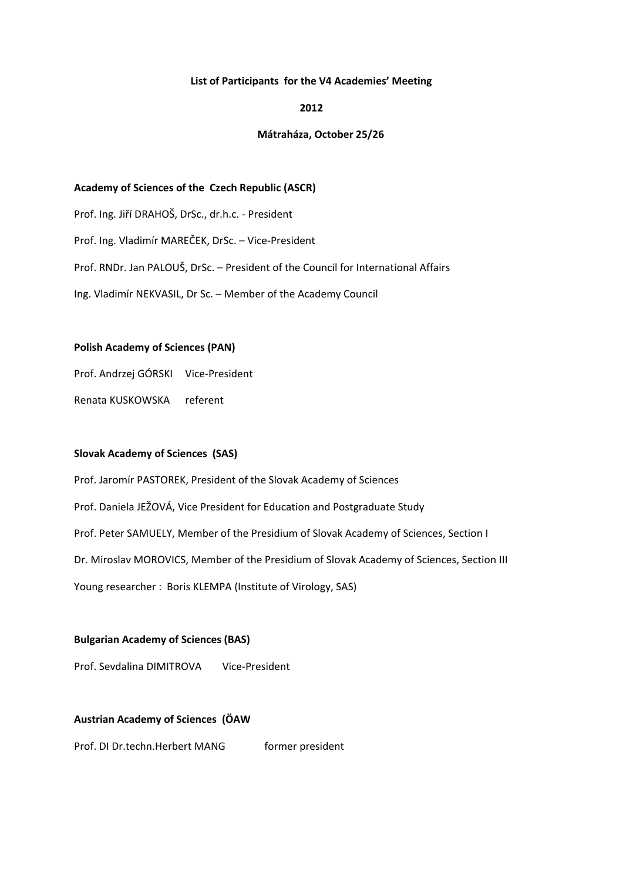### **List of Participants for the V4 Academies' Meeting**

### **2012**

## **Mátraháza, October 25/26**

### **Academy of Sciences of the Czech Republic (ASCR)**

Prof. Ing. Jiří DRAHOŠ, DrSc., dr.h.c. - President

Prof. Ing. Vladimír MAREČEK, DrSc. – Vice-President

Prof. RNDr. Jan PALOUŠ, DrSc. – President of the Council for International Affairs

Ing. Vladimír NEKVASIL, Dr Sc. – Member of the Academy Council

## **Polish Academy of Sciences (PAN)**

Prof. Andrzej GÓRSKI Vice-President

Renata KUSKOWSKA referent

### **Slovak Academy of Sciences (SAS)**

Prof. Jaromír PASTOREK, President of the Slovak Academy of Sciences Prof. Daniela JEŽOVÁ, Vice President for Education and Postgraduate Study Prof. Peter SAMUELY, Member of the Presidium of Slovak Academy of Sciences, Section I Dr. Miroslav MOROVICS, Member of the Presidium of Slovak Academy of Sciences, Section III Young researcher : Boris KLEMPA (Institute of Virology, SAS)

# **Bulgarian Academy of Sciences (BAS)**

Prof. Sevdalina DIMITROVA Vice-President

# **Austrian Academy of Sciences (ÖAW**

Prof. DI Dr.techn.Herbert MANG former president